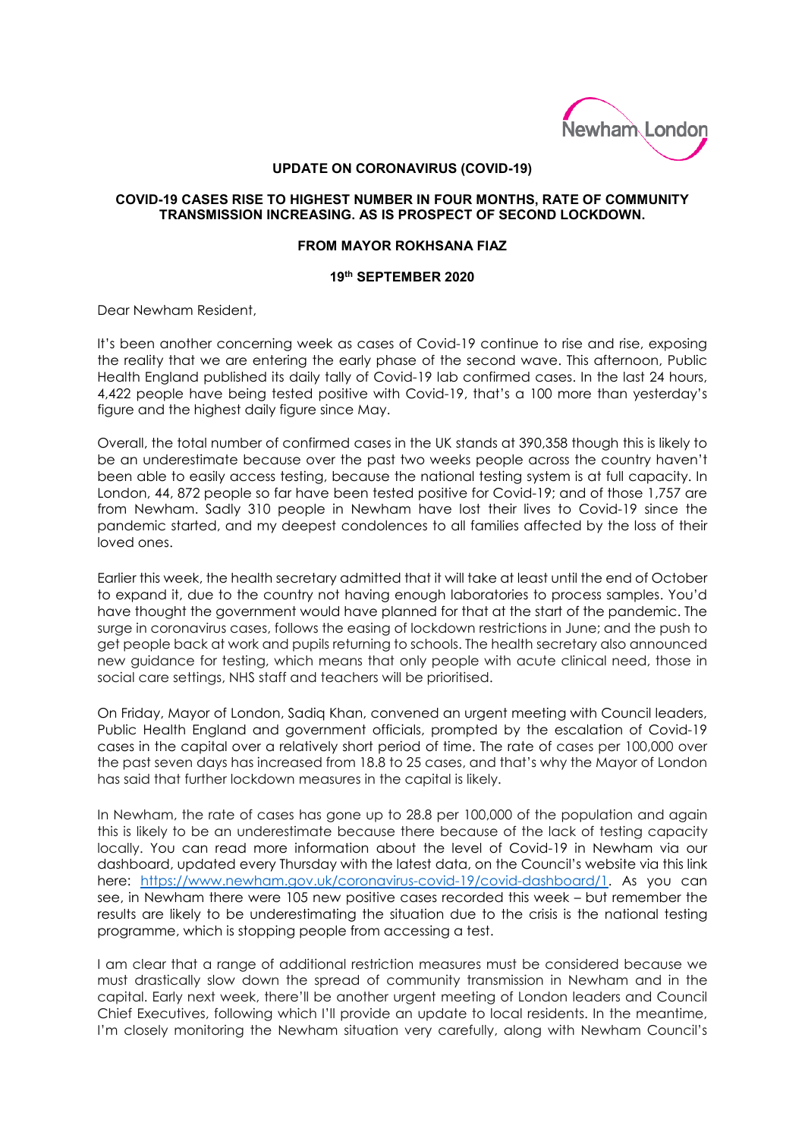

## **UPDATE ON CORONAVIRUS (COVID-19)**

## **COVID-19 CASES RISE TO HIGHEST NUMBER IN FOUR MONTHS, RATE OF COMMUNITY TRANSMISSION INCREASING. AS IS PROSPECT OF SECOND LOCKDOWN.**

## **FROM MAYOR ROKHSANA FIAZ**

## **19th SEPTEMBER 2020**

Dear Newham Resident,

It's been another concerning week as cases of Covid-19 continue to rise and rise, exposing the reality that we are entering the early phase of the second wave. This afternoon, Public Health England published its daily tally of Covid-19 lab confirmed cases. In the last 24 hours, 4,422 people have being tested positive with Covid-19, that's a 100 more than yesterday's figure and the highest daily figure since May.

Overall, the total number of confirmed cases in the UK stands at 390,358 though this is likely to be an underestimate because over the past two weeks people across the country haven't been able to easily access testing, because the national testing system is at full capacity. In London, 44, 872 people so far have been tested positive for Covid-19; and of those 1,757 are from Newham. Sadly 310 people in Newham have lost their lives to Covid-19 since the pandemic started, and my deepest condolences to all families affected by the loss of their loved ones.

Earlier this week, the health secretary admitted that it will take at least until the end of October to expand it, due to the country not having enough laboratories to process samples. You'd have thought the government would have planned for that at the start of the pandemic. The surge in coronavirus cases, follows the easing of lockdown restrictions in June; and the push to get people back at work and pupils returning to schools. The health secretary also announced new guidance for testing, which means that only people with acute clinical need, those in social care settings, NHS staff and teachers will be prioritised.

On Friday, Mayor of London, Sadiq Khan, convened an urgent meeting with Council leaders, Public Health England and government officials, prompted by the escalation of Covid-19 cases in the capital over a relatively short period of time. The rate of cases per 100,000 over the past seven days has increased from 18.8 to 25 cases, and that's why the Mayor of London has said that further lockdown measures in the capital is likely.

In Newham, the rate of cases has gone up to 28.8 per 100,000 of the population and again this is likely to be an underestimate because there because of the lack of testing capacity locally. You can read more information about the level of Covid-19 in Newham via our dashboard, updated every Thursday with the latest data, on the Council's website via this link here: [https://www.newham.gov.uk/coronavirus-covid-19/covid-dashboard/1.](https://www.newham.gov.uk/coronavirus-covid-19/covid-dashboard/1) As you can see, in Newham there were 105 new positive cases recorded this week – but remember the results are likely to be underestimating the situation due to the crisis is the national testing programme, which is stopping people from accessing a test.

I am clear that a range of additional restriction measures must be considered because we must drastically slow down the spread of community transmission in Newham and in the capital. Early next week, there'll be another urgent meeting of London leaders and Council Chief Executives, following which I'll provide an update to local residents. In the meantime, I'm closely monitoring the Newham situation very carefully, along with Newham Council's